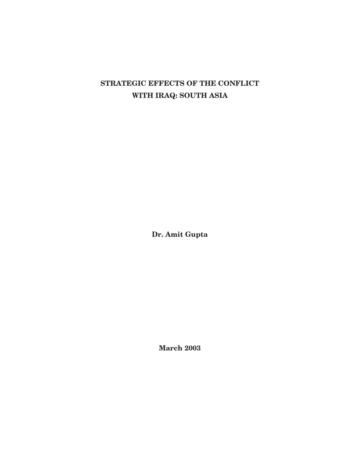# **STRATEGIC EFFECTS OF THE CONFLICT WITH IRAQ: SOUTH ASIA**

**Dr. Amit Gupta**

**March 2003**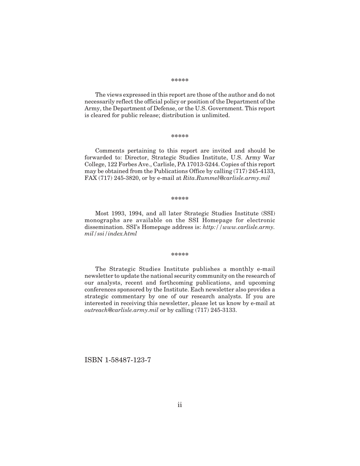#### **\*\*\*\*\***

The views expressed in this report are those of the author and do not necessarily reflect the official policy or position of the Department of the Army, the Department of Defense, or the U.S. Government. This report is cleared for public release; distribution is unlimited.

#### **\*\*\*\*\***

Comments pertaining to this report are invited and should be forwarded to: Director, Strategic Studies Institute, U.S. Army War College, 122 Forbes Ave., Carlisle, PA 17013-5244. Copies of this report may be obtained from the Publications Office by calling (717) 245-4133, FAX (717) 245-3820, or by e-mail at *Rita.Rummel@carlisle.army.mil*

#### **\*\*\*\*\***

Most 1993, 1994, and all later Strategic Studies Institute (SSI) monographs are available on the SSI Homepage for electronic dissemination. SSI's Homepage address is: *http://www.carlisle.army. mil/ssi/index.html*

#### **\*\*\*\*\***

The Strategic Studies Institute publishes a monthly e-mail newsletter to update the national security community on the research of our analysts, recent and forthcoming publications, and upcoming conferences sponsored by the Institute. Each newsletter also provides a strategic commentary by one of our research analysts. If you are interested in receiving this newsletter, please let us know by e-mail at *outreach@carlisle.army.mil* or by calling (717) 245-3133.

ISBN 1-58487-123-7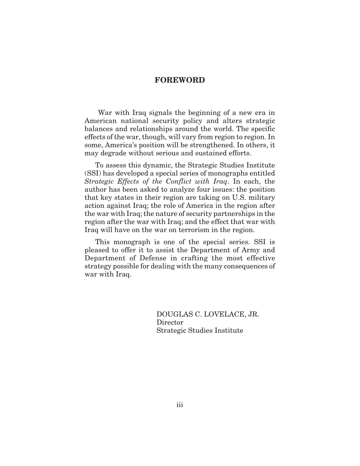### **FOREWORD**

War with Iraq signals the beginning of a new era in American national security policy and alters strategic balances and relationships around the world. The specific effects of the war, though, will vary from region to region. In some, America's position will be strengthened. In others, it may degrade without serious and sustained efforts.

To assess this dynamic, the Strategic Studies Institute (SSI) has developed a special series of monographs entitled *Strategic Effects of the Conflict with Iraq*. In each, the author has been asked to analyze four issues: the position that key states in their region are taking on U.S. military action against Iraq; the role of America in the region after the war with Iraq; the nature of security partnerships in the region after the war with Iraq; and the effect that war with Iraq will have on the war on terrorism in the region.

This monograph is one of the special series. SSI is pleased to offer it to assist the Department of Army and Department of Defense in crafting the most effective strategy possible for dealing with the many consequences of war with Iraq.

> DOUGLAS C. LOVELACE, JR. Director Strategic Studies Institute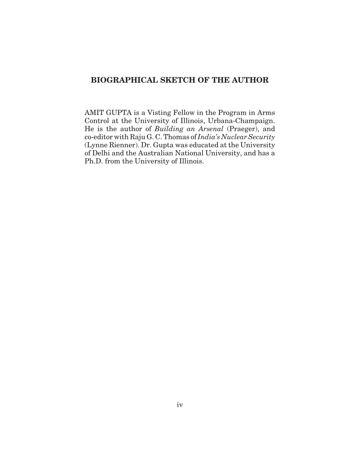## **BIOGRAPHICAL SKETCH OF THE AUTHOR**

AMIT GUPTA is a Visting Fellow in the Program in Arms Control at the University of Illinois, Urbana-Champaign. He is the author of *Building an Arsenal* (Praeger), and co-editor with Raju G. C. Thomas of *India's Nuclear Security* (Lynne Rienner). Dr. Gupta was educated at the University of Delhi and the Australian National University, and has a Ph.D. from the University of Illinois.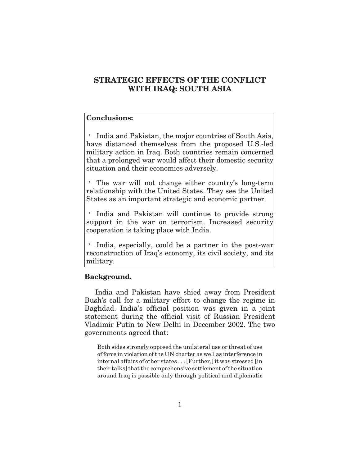## **STRATEGIC EFFECTS OF THE CONFLICT WITH IRAQ: SOUTH ASIA**

## **Conclusions:**

India and Pakistan, the major countries of South Asia, have distanced themselves from the proposed U.S.-led military action in Iraq. Both countries remain concerned that a prolonged war would affect their domestic security situation and their economies adversely.

The war will not change either country's long-term relationship with the United States. They see the United States as an important strategic and economic partner.

India and Pakistan will continue to provide strong support in the war on terrorism. Increased security cooperation is taking place with India.

India, especially, could be a partner in the post-war reconstruction of Iraq's economy, its civil society, and its military.

#### **Background.**

India and Pakistan have shied away from President Bush's call for a military effort to change the regime in Baghdad. India's official position was given in a joint statement during the official visit of Russian President Vladimir Putin to New Delhi in December 2002. The two governments agreed that:

Both sides strongly opposed the unilateral use or threat of use of force in violation of the UN charter as well as interference in internal affairs of other states . . . [Further,] it was stressed [in their talks] that the comprehensive settlement of the situation around Iraq is possible only through political and diplomatic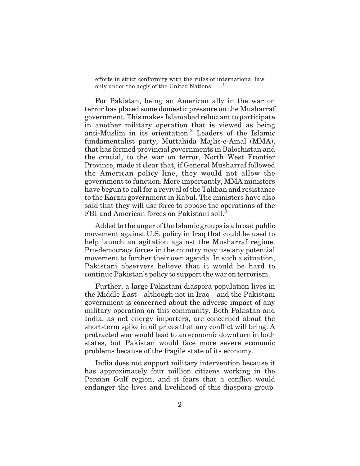efforts in strict conformity with the rules of international law only under the aegis of the United Nations... $\cdot$ <sup>1</sup>

For Pakistan, being an American ally in the war on terror has placed some domestic pressure on the Musharraf government. This makes Islamabad reluctant to participate in another military operation that is viewed as being anti-Muslim in its orientation.<sup>2</sup> Leaders of the Islamic fundamentalist party, Muttahida Majlis-e-Amal (MMA), that has formed provincial governments in Balochistan and the crucial, to the war on terror, North West Frontier Province, made it clear that, if General Musharraf followed the American policy line, they would not allow the government to function. More importantly, MMA ministers have begun to call for a revival of the Taliban and resistance to the Karzai government in Kabul. The ministers have also said that they will use force to oppose the operations of the FBI and American forces on Pakistani soil.<sup>3</sup>

Added to the anger of the Islamic groups is a broad public movement against U.S. policy in Iraq that could be used to help launch an agitation against the Musharraf regime. Pro-democracy forces in the country may use any potential movement to further their own agenda. In such a situation, Pakistani observers believe that it would be hard to continue Pakistan's policy to support the war on terrorism.

Further, a large Pakistani diaspora population lives in the Middle East—although not in Iraq—and the Pakistani government is concerned about the adverse impact of any military operation on this community. Both Pakistan and India, as net energy importers, are concerned about the short-term spike in oil prices that any conflict will bring. A protracted war would lead to an economic downturn in both states, but Pakistan would face more severe economic problems because of the fragile state of its economy.

India does not support military intervention because it has approximately four million citizens working in the Persian Gulf region, and it fears that a conflict would endanger the lives and livelihood of this diaspora group.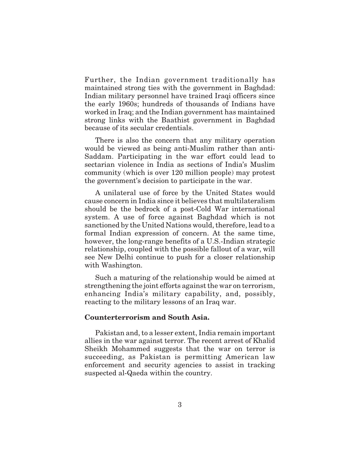Further, the Indian government traditionally has maintained strong ties with the government in Baghdad: Indian military personnel have trained Iraqi officers since the early 1960s; hundreds of thousands of Indians have worked in Iraq; and the Indian government has maintained strong links with the Baathist government in Baghdad because of its secular credentials.

There is also the concern that any military operation would be viewed as being anti-Muslim rather than anti-Saddam. Participating in the war effort could lead to sectarian violence in India as sections of India's Muslim community (which is over 120 million people) may protest the government's decision to participate in the war.

A unilateral use of force by the United States would cause concern in India since it believes that multilateralism should be the bedrock of a post-Cold War international system. A use of force against Baghdad which is not sanctioned by the United Nations would, therefore, lead to a formal Indian expression of concern. At the same time, however, the long-range benefits of a U.S.-Indian strategic relationship, coupled with the possible fallout of a war, will see New Delhi continue to push for a closer relationship with Washington.

Such a maturing of the relationship would be aimed at strengthening the joint efforts against the war on terrorism, enhancing India's military capability, and, possibly, reacting to the military lessons of an Iraq war.

### **Counterterrorism and South Asia.**

Pakistan and, to a lesser extent, India remain important allies in the war against terror. The recent arrest of Khalid Sheikh Mohammed suggests that the war on terror is succeeding, as Pakistan is permitting American law enforcement and security agencies to assist in tracking suspected al-Qaeda within the country.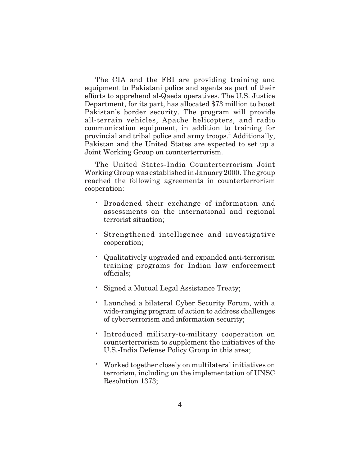The CIA and the FBI are providing training and equipment to Pakistani police and agents as part of their efforts to apprehend al-Qaeda operatives. The U.S. Justice Department, for its part, has allocated \$73 million to boost Pakistan's border security. The program will provide all-terrain vehicles, Apache helicopters, and radio communication equipment, in addition to training for provincial and tribal police and army troops.<sup>4</sup> Additionally, Pakistan and the United States are expected to set up a Joint Working Group on counterterrorism.

The United States-India Counterterrorism Joint Working Group was established in January 2000. The group reached the following agreements in counterterrorism cooperation:

Broadened their exchange of information and assessments on the international and regional terrorist situation;

Strengthened intelligence and investigative cooperation;

Qualitatively upgraded and expanded anti-terrorism training programs for Indian law enforcement officials;

Signed a Mutual Legal Assistance Treaty;

Launched a bilateral Cyber Security Forum, with a wide-ranging program of action to address challenges of cyberterrorism and information security;

Introduced military-to-military cooperation on counterterrorism to supplement the initiatives of the U.S.-India Defense Policy Group in this area;

Worked together closely on multilateral initiatives on terrorism, including on the implementation of UNSC Resolution 1373;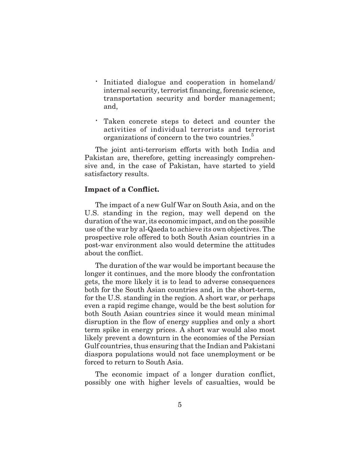Initiated dialogue and cooperation in homeland/ internal security, terrorist financing, forensic science, transportation security and border management; and,

Taken concrete steps to detect and counter the activities of individual terrorists and terrorist organizations of concern to the two countries.<sup>5</sup>

The joint anti-terrorism efforts with both India and Pakistan are, therefore, getting increasingly comprehensive and, in the case of Pakistan, have started to yield satisfactory results.

#### **Impact of a Conflict.**

The impact of a new Gulf War on South Asia, and on the U.S. standing in the region, may well depend on the duration of the war, its economic impact, and on the possible use of the war by al-Qaeda to achieve its own objectives. The prospective role offered to both South Asian countries in a post-war environment also would determine the attitudes about the conflict.

The duration of the war would be important because the longer it continues, and the more bloody the confrontation gets, the more likely it is to lead to adverse consequences both for the South Asian countries and, in the short-term, for the U.S. standing in the region. A short war, or perhaps even a rapid regime change, would be the best solution for both South Asian countries since it would mean minimal disruption in the flow of energy supplies and only a short term spike in energy prices. A short war would also most likely prevent a downturn in the economies of the Persian Gulf countries, thus ensuring that the Indian and Pakistani diaspora populations would not face unemployment or be forced to return to South Asia.

The economic impact of a longer duration conflict, possibly one with higher levels of casualties, would be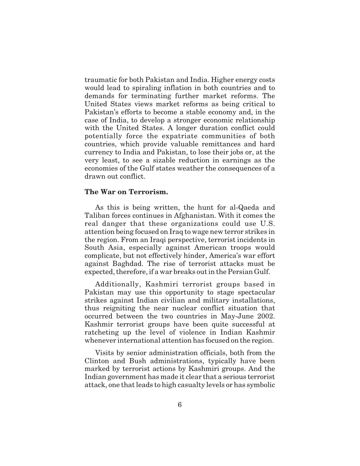traumatic for both Pakistan and India. Higher energy costs would lead to spiraling inflation in both countries and to demands for terminating further market reforms. The United States views market reforms as being critical to Pakistan's efforts to become a stable economy and, in the case of India, to develop a stronger economic relationship with the United States. A longer duration conflict could potentially force the expatriate communities of both countries, which provide valuable remittances and hard currency to India and Pakistan, to lose their jobs or, at the very least, to see a sizable reduction in earnings as the economies of the Gulf states weather the consequences of a drawn out conflict.

### **The War on Terrorism.**

As this is being written, the hunt for al-Qaeda and Taliban forces continues in Afghanistan. With it comes the real danger that these organizations could use U.S. attention being focused on Iraq to wage new terror strikes in the region. From an Iraqi perspective, terrorist incidents in South Asia, especially against American troops would complicate, but not effectively hinder, America's war effort against Baghdad. The rise of terrorist attacks must be expected, therefore, if a war breaks out in the Persian Gulf.

Additionally, Kashmiri terrorist groups based in Pakistan may use this opportunity to stage spectacular strikes against Indian civilian and military installations, thus reigniting the near nuclear conflict situation that occurred between the two countries in May-June 2002. Kashmir terrorist groups have been quite successful at ratcheting up the level of violence in Indian Kashmir whenever international attention has focused on the region.

Visits by senior administration officials, both from the Clinton and Bush administrations, typically have been marked by terrorist actions by Kashmiri groups. And the Indian government has made it clear that a serious terrorist attack, one that leads to high casualty levels or has symbolic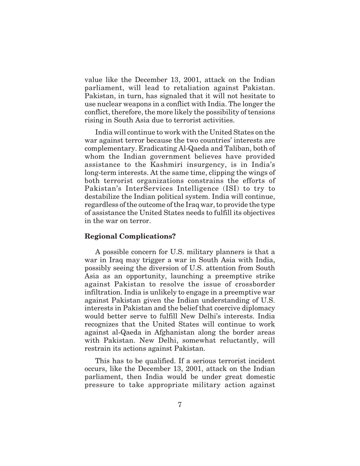value like the December 13, 2001, attack on the Indian parliament, will lead to retaliation against Pakistan. Pakistan, in turn, has signaled that it will not hesitate to use nuclear weapons in a conflict with India. The longer the conflict, therefore, the more likely the possibility of tensions rising in South Asia due to terrorist activities.

India will continue to work with the United States on the war against terror because the two countries' interests are complementary. Eradicating Al-Qaeda and Taliban, both of whom the Indian government believes have provided assistance to the Kashmiri insurgency, is in India's long-term interests. At the same time, clipping the wings of both terrorist organizations constrains the efforts of Pakistan's InterServices Intelligence (ISI) to try to destabilize the Indian political system. India will continue, regardless of the outcome of the Iraq war, to provide the type of assistance the United States needs to fulfill its objectives in the war on terror.

### **Regional Complications?**

A possible concern for U.S. military planners is that a war in Iraq may trigger a war in South Asia with India, possibly seeing the diversion of U.S. attention from South Asia as an opportunity, launching a preemptive strike against Pakistan to resolve the issue of crossborder infiltration. India is unlikely to engage in a preemptive war against Pakistan given the Indian understanding of U.S. interests in Pakistan and the belief that coercive diplomacy would better serve to fulfill New Delhi's interests. India recognizes that the United States will continue to work against al-Qaeda in Afghanistan along the border areas with Pakistan. New Delhi, somewhat reluctantly, will restrain its actions against Pakistan.

This has to be qualified. If a serious terrorist incident occurs, like the December 13, 2001, attack on the Indian parliament, then India would be under great domestic pressure to take appropriate military action against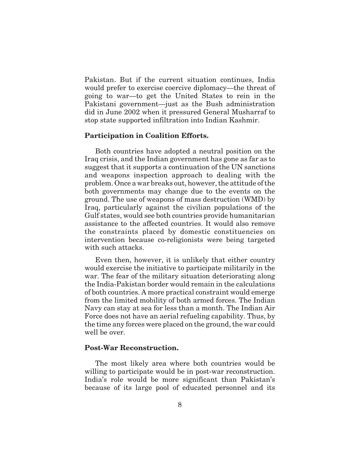Pakistan. But if the current situation continues, India would prefer to exercise coercive diplomacy—the threat of going to war—to get the United States to rein in the Pakistani government—just as the Bush administration did in June 2002 when it pressured General Musharraf to stop state supported infiltration into Indian Kashmir.

### **Participation in Coalition Efforts.**

Both countries have adopted a neutral position on the Iraq crisis, and the Indian government has gone as far as to suggest that it supports a continuation of the UN sanctions and weapons inspection approach to dealing with the problem. Once a war breaks out, however, the attitude of the both governments may change due to the events on the ground. The use of weapons of mass destruction (WMD) by Iraq, particularly against the civilian populations of the Gulf states, would see both countries provide humanitarian assistance to the affected countries. It would also remove the constraints placed by domestic constituencies on intervention because co-religionists were being targeted with such attacks.

Even then, however, it is unlikely that either country would exercise the initiative to participate militarily in the war. The fear of the military situation deteriorating along the India-Pakistan border would remain in the calculations of both countries. A more practical constraint would emerge from the limited mobility of both armed forces. The Indian Navy can stay at sea for less than a month. The Indian Air Force does not have an aerial refueling capability. Thus, by the time any forces were placed on the ground, the war could well be over.

#### **Post-War Reconstruction.**

The most likely area where both countries would be willing to participate would be in post-war reconstruction. India's role would be more significant than Pakistan's because of its large pool of educated personnel and its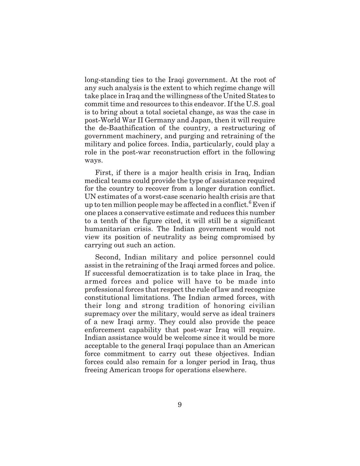long-standing ties to the Iraqi government. At the root of any such analysis is the extent to which regime change will take place in Iraq and the willingness of the United States to commit time and resources to this endeavor. If the U.S. goal is to bring about a total societal change, as was the case in post-World War II Germany and Japan, then it will require the de-Baathification of the country, a restructuring of government machinery, and purging and retraining of the military and police forces. India, particularly, could play a role in the post-war reconstruction effort in the following ways.

First, if there is a major health crisis in Iraq, Indian medical teams could provide the type of assistance required for the country to recover from a longer duration conflict. UN estimates of a worst-case scenario health crisis are that up to ten million people may be affected in a conflict.<sup>6</sup> Even if one places a conservative estimate and reduces this number to a tenth of the figure cited, it will still be a significant humanitarian crisis. The Indian government would not view its position of neutrality as being compromised by carrying out such an action.

Second, Indian military and police personnel could assist in the retraining of the Iraqi armed forces and police. If successful democratization is to take place in Iraq, the armed forces and police will have to be made into professional forces that respect the rule of law and recognize constitutional limitations. The Indian armed forces, with their long and strong tradition of honoring civilian supremacy over the military, would serve as ideal trainers of a new Iraqi army. They could also provide the peace enforcement capability that post-war Iraq will require. Indian assistance would be welcome since it would be more acceptable to the general Iraqi populace than an American force commitment to carry out these objectives. Indian forces could also remain for a longer period in Iraq, thus freeing American troops for operations elsewhere.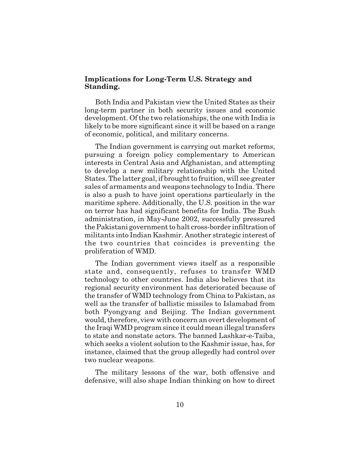### **Implications for Long-Term U.S. Strategy and Standing.**

Both India and Pakistan view the United States as their long-term partner in both security issues and economic development. Of the two relationships, the one with India is likely to be more significant since it will be based on a range of economic, political, and military concerns.

The Indian government is carrying out market reforms, pursuing a foreign policy complementary to American interests in Central Asia and Afghanistan, and attempting to develop a new military relationship with the United States. The latter goal, if brought to fruition, will see greater sales of armaments and weapons technology to India. There is also a push to have joint operations particularly in the maritime sphere. Additionally, the U.S. position in the war on terror has had significant benefits for India. The Bush administration, in May-June 2002, successfully pressured the Pakistani government to halt cross-border infiltration of militants into Indian Kashmir. Another strategic interest of the two countries that coincides is preventing the proliferation of WMD.

The Indian government views itself as a responsible state and, consequently, refuses to transfer WMD technology to other countries. India also believes that its regional security environment has deteriorated because of the transfer of WMD technology from China to Pakistan, as well as the transfer of ballistic missiles to Islamabad from both Pyongyang and Beijing. The Indian government would, therefore, view with concern an overt development of the Iraqi WMD program since it could mean illegal transfers to state and nonstate actors. The banned Lashkar-e-Taiba, which seeks a violent solution to the Kashmir issue, has, for instance, claimed that the group allegedly had control over two nuclear weapons.

The military lessons of the war, both offensive and defensive, will also shape Indian thinking on how to direct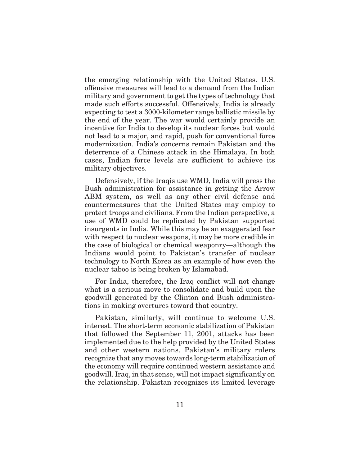the emerging relationship with the United States. U.S. offensive measures will lead to a demand from the Indian military and government to get the types of technology that made such efforts successful. Offensively, India is already expecting to test a 3000-kilometer range ballistic missile by the end of the year. The war would certainly provide an incentive for India to develop its nuclear forces but would not lead to a major, and rapid, push for conventional force modernization. India's concerns remain Pakistan and the deterrence of a Chinese attack in the Himalaya. In both cases, Indian force levels are sufficient to achieve its military objectives.

Defensively, if the Iraqis use WMD, India will press the Bush administration for assistance in getting the Arrow ABM system, as well as any other civil defense and countermeasures that the United States may employ to protect troops and civilians. From the Indian perspective, a use of WMD could be replicated by Pakistan supported insurgents in India. While this may be an exaggerated fear with respect to nuclear weapons, it may be more credible in the case of biological or chemical weaponry—although the Indians would point to Pakistan's transfer of nuclear technology to North Korea as an example of how even the nuclear taboo is being broken by Islamabad.

For India, therefore, the Iraq conflict will not change what is a serious move to consolidate and build upon the goodwill generated by the Clinton and Bush administrations in making overtures toward that country.

Pakistan, similarly, will continue to welcome U.S. interest. The short-term economic stabilization of Pakistan that followed the September 11, 2001, attacks has been implemented due to the help provided by the United States and other western nations. Pakistan's military rulers recognize that any moves towards long-term stabilization of the economy will require continued western assistance and goodwill. Iraq, in that sense, will not impact significantly on the relationship. Pakistan recognizes its limited leverage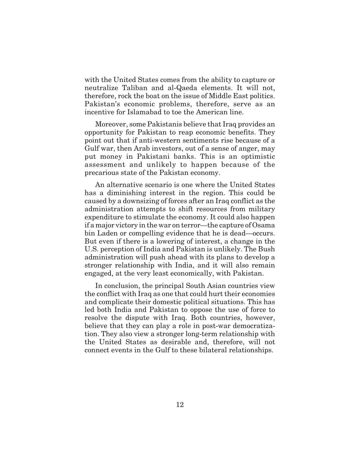with the United States comes from the ability to capture or neutralize Taliban and al-Qaeda elements. It will not, therefore, rock the boat on the issue of Middle East politics. Pakistan's economic problems, therefore, serve as an incentive for Islamabad to toe the American line.

Moreover, some Pakistanis believe that Iraq provides an opportunity for Pakistan to reap economic benefits. They point out that if anti-western sentiments rise because of a Gulf war, then Arab investors, out of a sense of anger, may put money in Pakistani banks. This is an optimistic assessment and unlikely to happen because of the precarious state of the Pakistan economy.

An alternative scenario is one where the United States has a diminishing interest in the region. This could be caused by a downsizing of forces after an Iraq conflict as the administration attempts to shift resources from military expenditure to stimulate the economy. It could also happen if a major victory in the war on terror—the capture of Osama bin Laden or compelling evidence that he is dead—occurs. But even if there is a lowering of interest, a change in the U.S. perception of India and Pakistan is unlikely. The Bush administration will push ahead with its plans to develop a stronger relationship with India, and it will also remain engaged, at the very least economically, with Pakistan.

In conclusion, the principal South Asian countries view the conflict with Iraq as one that could hurt their economies and complicate their domestic political situations. This has led both India and Pakistan to oppose the use of force to resolve the dispute with Iraq. Both countries, however, believe that they can play a role in post-war democratization. They also view a stronger long-term relationship with the United States as desirable and, therefore, will not connect events in the Gulf to these bilateral relationships.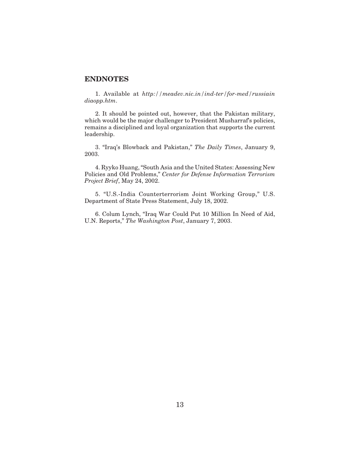### **ENDNOTES**

1. Available at *http://meadev.nic.in/ind-ter/for-med/russiain diaopp.htm*.

2. It should be pointed out, however, that the Pakistan military, which would be the major challenger to President Musharraf's policies, remains a disciplined and loyal organization that supports the current leadership.

3. "Iraq's Blowback and Pakistan," *The Daily Times*, January 9, 2003.

4. Ryyko Huang, "South Asia and the United States: Assessing New Policies and Old Problems," *Center for Defense Information Terrorism Project Brief*, May 24, 2002.

5. "U.S.-India Counterterrorism Joint Working Group," U.S. Department of State Press Statement, July 18, 2002.

6. Colum Lynch, "Iraq War Could Put 10 Million In Need of Aid, U.N. Reports," *The Washington Post*, January 7, 2003.